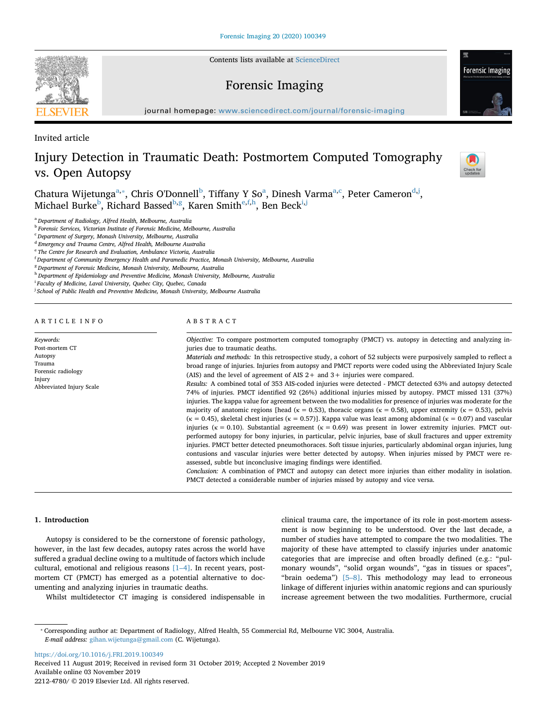Contents lists available at [ScienceDirect](http://www.sciencedirect.com/science/journal/26662256)

## Forensic Imaging

journal homepage: [www.sciencedirect.com/journal/forensic-imaging](https://www.sciencedirect.com/journal/forensic-imaging)

Invited article

# Injury Detection in Traumatic Death: Postmortem Computed Tomography vs. Open Autopsy

Chatura Wijetunga<sup>a,\*</sup>, Chris O'Donnell<sup>[b](#page-0-2)</sup>, Tiff[a](#page-0-0)ny Y So<sup>a</sup>, Dinesh Varma<sup>[a,](#page-0-0)[c](#page-0-3)</sup>, Peter Cameron<sup>[d](#page-0-4)[,j](#page-0-5)</sup>, Michael Burke<sup>[b](#page-0-2)</sup>, Richard Bassed<sup>b[,g](#page-0-6)</sup>, Karen Smith<sup>e[,f](#page-0-8)[,h](#page-0-9)</sup>, Ben Beck<sup>i,[j](#page-0-5)</sup>

<span id="page-0-0"></span><sup>a</sup> *Department of Radiology, Alfred Health, Melbourne, Australia*

<span id="page-0-2"></span><sup>b</sup> *Forensic Services, Victorian Institute of Forensic Medicine, Melbourne, Australia*

<span id="page-0-3"></span><sup>c</sup> *Department of Surgery, Monash University, Melbourne, Australia*

<span id="page-0-4"></span><sup>d</sup> *Emergency and Trauma Centre, Alfred Health, Melbourne Australia*

<span id="page-0-7"></span><sup>e</sup> *The Centre for Research and Evaluation, Ambulance Victoria, Australia*

<span id="page-0-8"></span>f *Department of Community Emergency Health and Paramedic Practice, Monash University, Melbourne, Australia*

<span id="page-0-6"></span><sup>g</sup> *Department of Forensic Medicine, Monash University, Melbourne, Australia*

<span id="page-0-9"></span><sup>h</sup> *Department of Epidemiology and Preventive Medicine, Monash University, Melbourne, Australia*

<span id="page-0-10"></span>i *Faculty of Medicine, Laval University, Quebec City, Quebec, Canada*

<span id="page-0-5"></span>j *School of Public Health and Preventive Medicine, Monash University, Melbourne Australia*

| ARTICLE INFO |  |  |  |  |  |  |  |  |  |  |  |
|--------------|--|--|--|--|--|--|--|--|--|--|--|
|--------------|--|--|--|--|--|--|--|--|--|--|--|

Abbreviated Injury Scale

*Keywords:* Post-mortem CT Autopsy **Trauma** Forensic radiology Injury

#### ABSTRACT

*Objective:* To compare postmortem computed tomography (PMCT) vs. autopsy in detecting and analyzing injuries due to traumatic deaths.

*Materials and methods:* In this retrospective study, a cohort of 52 subjects were purposively sampled to reflect a broad range of injuries. Injuries from autopsy and PMCT reports were coded using the Abbreviated Injury Scale (AIS) and the level of agreement of AIS 2+ and 3+ injuries were compared.

*Results:* A combined total of 353 AIS-coded injuries were detected - PMCT detected 63% and autopsy detected 74% of injuries. PMCT identified 92 (26%) additional injuries missed by autopsy. PMCT missed 131 (37%) injuries. The kappa value for agreement between the two modalities for presence of injuries was moderate for the majority of anatomic regions [head ( $\kappa = 0.53$ ), thoracic organs ( $\kappa = 0.58$ ), upper extremity ( $\kappa = 0.53$ ), pelvis ( $\kappa$  = 0.45), skeletal chest injuries ( $\kappa$  = 0.57)]. Kappa value was least among abdominal ( $\kappa$  = 0.07) and vascular injuries ( $\kappa = 0.10$ ). Substantial agreement ( $\kappa = 0.69$ ) was present in lower extremity injuries. PMCT outperformed autopsy for bony injuries, in particular, pelvic injuries, base of skull fractures and upper extremity injuries. PMCT better detected pneumothoraces. Soft tissue injuries, particularly abdominal organ injuries, lung contusions and vascular injuries were better detected by autopsy. When injuries missed by PMCT were reassessed, subtle but inconclusive imaging findings were identified.

*Conclusion:* A combination of PMCT and autopsy can detect more injuries than either modality in isolation. PMCT detected a considerable number of injuries missed by autopsy and vice versa.

#### **1. Introduction**

Autopsy is considered to be the cornerstone of forensic pathology, however, in the last few decades, autopsy rates across the world have suffered a gradual decline owing to a multitude of factors which include cultural, emotional and religious reasons [\[1–4\]](#page-5-0). In recent years, postmortem CT (PMCT) has emerged as a potential alternative to documenting and analyzing injuries in traumatic deaths.

Whilst multidetector CT imaging is considered indispensable in

clinical trauma care, the importance of its role in post-mortem assessment is now beginning to be understood. Over the last decade, a number of studies have attempted to compare the two modalities. The majority of these have attempted to classify injuries under anatomic categories that are imprecise and often broadly defined (e.g.: "pulmonary wounds", "solid organ wounds", "gas in tissues or spaces", "brain oedema") [\[5–8\]](#page-5-1). This methodology may lead to erroneous linkage of different injuries within anatomic regions and can spuriously increase agreement between the two modalities. Furthermore, crucial

<span id="page-0-1"></span>⁎ Corresponding author at: Department of Radiology, Alfred Health, 55 Commercial Rd, Melbourne VIC 3004, Australia. *E-mail address:* [gihan.wijetunga@gmail.com](mailto:gihan.wijetunga@gmail.com) (C. Wijetunga).

<https://doi.org/10.1016/j.FRI.2019.100349>

Received 11 August 2019; Received in revised form 31 October 2019; Accepted 2 November 2019 Available online 03 November 2019 2212-4780/ © 2019 Elsevier Ltd. All rights reserved.





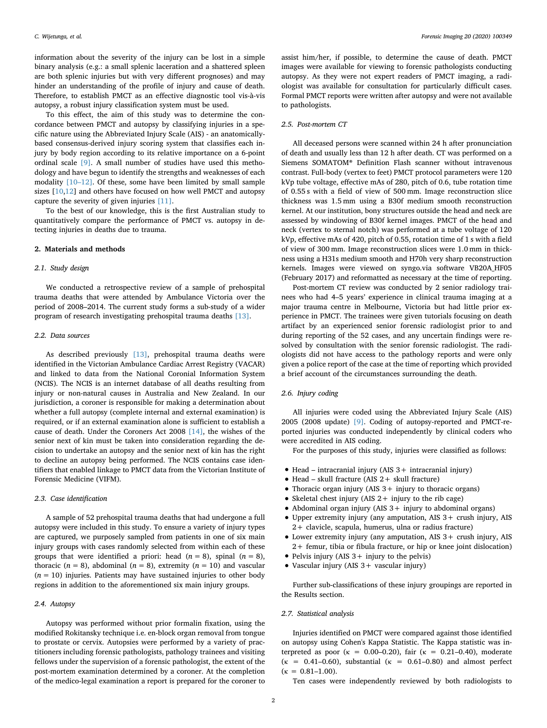information about the severity of the injury can be lost in a simple binary analysis (e.g.: a small splenic laceration and a shattered spleen are both splenic injuries but with very different prognoses) and may hinder an understanding of the profile of injury and cause of death. Therefore, to establish PMCT as an effective diagnostic tool vis-à-vis autopsy, a robust injury classification system must be used.

To this effect, the aim of this study was to determine the concordance between PMCT and autopsy by classifying injuries in a specific nature using the Abbreviated Injury Scale (AIS) - an anatomicallybased consensus-derived injury scoring system that classifies each injury by body region according to its relative importance on a 6-point ordinal scale [\[9\].](#page-5-2) A small number of studies have used this methodology and have begun to identify the strengths and weaknesses of each modality [\[10–12\].](#page-5-3) Of these, some have been limited by small sample sizes  $[10,12]$  $[10,12]$  $[10,12]$  $[10,12]$  and others have focused on how well PMCT and autopsy capture the severity of given injuries [\[11\]](#page-5-5).

To the best of our knowledge, this is the first Australian study to quantitatively compare the performance of PMCT vs. autopsy in detecting injuries in deaths due to trauma.

#### **2. Materials and methods**

#### *2.1. Study design*

We conducted a retrospective review of a sample of prehospital trauma deaths that were attended by Ambulance Victoria over the period of 2008–2014. The current study forms a sub-study of a wider program of research investigating prehospital trauma deaths [\[13\].](#page-6-0)

#### *2.2. Data sources*

As described previously [\[13\]](#page-6-0), prehospital trauma deaths were identified in the Victorian Ambulance Cardiac Arrest Registry (VACAR) and linked to data from the National Coronial Information System (NCIS). The NCIS is an internet database of all deaths resulting from injury or non-natural causes in Australia and New Zealand. In our jurisdiction, a coroner is responsible for making a determination about whether a full autopsy (complete internal and external examination) is required, or if an external examination alone is sufficient to establish a cause of death. Under the Coroners Act 2008 [\[14\]](#page-6-1), the wishes of the senior next of kin must be taken into consideration regarding the decision to undertake an autopsy and the senior next of kin has the right to decline an autopsy being performed. The NCIS contains case identifiers that enabled linkage to PMCT data from the Victorian Institute of Forensic Medicine (VIFM).

#### *2.3. Case identification*

A sample of 52 prehospital trauma deaths that had undergone a full autopsy were included in this study. To ensure a variety of injury types are captured, we purposely sampled from patients in one of six main injury groups with cases randomly selected from within each of these groups that were identified a priori: head  $(n = 8)$ , spinal  $(n = 8)$ , thoracic ( $n = 8$ ), abdominal ( $n = 8$ ), extremity ( $n = 10$ ) and vascular  $(n = 10)$  injuries. Patients may have sustained injuries to other body regions in addition to the aforementioned six main injury groups.

### *2.4. Autopsy*

Autopsy was performed without prior formalin fixation, using the modified Rokitansky technique i.e. en-block organ removal from tongue to prostate or cervix. Autopsies were performed by a variety of practitioners including forensic pathologists, pathology trainees and visiting fellows under the supervision of a forensic pathologist, the extent of the post-mortem examination determined by a coroner. At the completion of the medico-legal examination a report is prepared for the coroner to

assist him/her, if possible, to determine the cause of death. PMCT images were available for viewing to forensic pathologists conducting autopsy. As they were not expert readers of PMCT imaging, a radiologist was available for consultation for particularly difficult cases. Formal PMCT reports were written after autopsy and were not available to pathologists.

#### *2.5. Post-mortem CT*

All deceased persons were scanned within 24 h after pronunciation of death and usually less than 12 h after death. CT was performed on a Siemens SOMATOM® Definition Flash scanner without intravenous contrast. Full-body (vertex to feet) PMCT protocol parameters were 120 kVp tube voltage, effective mAs of 280, pitch of 0.6, tube rotation time of 0.55 s with a field of view of 500 mm. Image reconstruction slice thickness was 1.5 mm using a B30f medium smooth reconstruction kernel. At our institution, bony structures outside the head and neck are assessed by windowing of B30f kernel images. PMCT of the head and neck (vertex to sternal notch) was performed at a tube voltage of 120 kVp, effective mAs of 420, pitch of 0.55, rotation time of 1 s with a field of view of 300 mm. Image reconstruction slices were 1.0 mm in thickness using a H31s medium smooth and H70h very sharp reconstruction kernels. Images were viewed on syngo.via software VB20A\_HF05 (February 2017) and reformatted as necessary at the time of reporting.

Post-mortem CT review was conducted by 2 senior radiology trainees who had 4–5 years' experience in clinical trauma imaging at a major trauma centre in Melbourne, Victoria but had little prior experience in PMCT. The trainees were given tutorials focusing on death artifact by an experienced senior forensic radiologist prior to and during reporting of the 52 cases, and any uncertain findings were resolved by consultation with the senior forensic radiologist. The radiologists did not have access to the pathology reports and were only given a police report of the case at the time of reporting which provided a brief account of the circumstances surrounding the death.

#### *2.6. Injury coding*

All injuries were coded using the Abbreviated Injury Scale (AIS) 2005 (2008 update) [\[9\]](#page-5-2). Coding of autopsy-reported and PMCT-reported injuries was conducted independently by clinical coders who were accredited in AIS coding.

For the purposes of this study, injuries were classified as follows:

- Head intracranial injury (AIS 3+ intracranial injury)
- Head skull fracture (AIS 2+ skull fracture)
- Thoracic organ injury (AIS 3+ injury to thoracic organs)
- Skeletal chest injury (AIS  $2+$  injury to the rib cage)
- Abdominal organ injury (AIS 3+ injury to abdominal organs)
- Upper extremity injury (any amputation, AIS 3+ crush injury, AIS 2+ clavicle, scapula, humerus, ulna or radius fracture)
- Lower extremity injury (any amputation, AIS 3+ crush injury, AIS 2+ femur, tibia or fibula fracture, or hip or knee joint dislocation)
- Pelvis injury (AIS 3+ injury to the pelvis)
- Vascular injury (AIS 3+ vascular injury)

Further sub-classifications of these injury groupings are reported in the Results section.

#### *2.7. Statistical analysis*

Injuries identified on PMCT were compared against those identified on autopsy using Cohen's Kappa Statistic. The Kappa statistic was interpreted as poor ( $\kappa = 0.00{\text -}0.20$ ), fair ( $\kappa = 0.21{\text -}0.40$ ), moderate ( $\kappa$  = 0.41–0.60), substantial ( $\kappa$  = 0.61–0.80) and almost perfect  $\kappa = 0.81 - 1.00$ .

Ten cases were independently reviewed by both radiologists to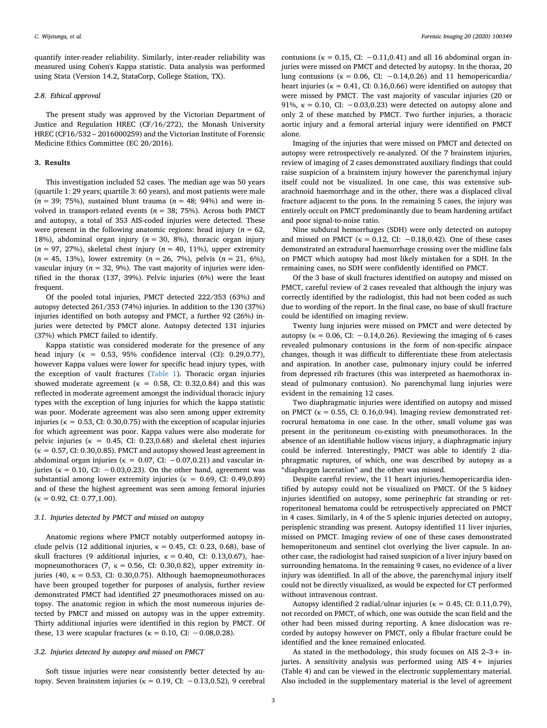quantify inter-reader reliability. Similarly, inter-reader reliability was measured using Cohen's Kappa statistic. Data analysis was performed using Stata (Version 14.2, StataCorp, College Station, TX).

#### *2.8. Ethical approval*

The present study was approved by the Victorian Department of Justice and Regulation HREC (CF/16/272), the Monash University HREC (CF16/532 – 2016000259) and the Victorian Institute of Forensic Medicine Ethics Committee (EC 20/2016).

#### **3. Results**

This investigation included 52 cases. The median age was 50 years (quartile 1: 29 years; quartile 3: 60 years), and most patients were male  $(n = 39; 75%)$ , sustained blunt trauma  $(n = 48; 94%)$  and were involved in transport-related events ( $n = 38$ ; 75%). Across both PMCT and autopsy, a total of 353 AIS-coded injuries were detected. These were present in the following anatomic regions: head injury  $(n = 62,$ 18%), abdominal organ injury  $(n = 30, 8\%)$ , thoracic organ injury (*n* = 97, 27%), skeletal chest injury (*n* = 40, 11%), upper extremity (*n* = 45, 13%), lower extremity (*n* = 26, 7%), pelvis (*n* = 21, 6%), vascular injury ( $n = 32, 9\%$ ). The vast majority of injuries were identified in the thorax (137, 39%). Pelvic injuries (6%) were the least frequent.

Of the pooled total injuries, PMCT detected 222/353 (63%) and autopsy detected 261/353 (74%) injuries. In addition to the 130 (37%) injuries identified on both autopsy and PMCT, a further 92 (26%) injuries were detected by PMCT alone. Autopsy detected 131 injuries (37%) which PMCT failed to identify.

Kappa statistic was considered moderate for the presence of any head injury ( $\kappa = 0.53$ , 95% confidence interval (CI): 0.29,0.77), however Kappa values were lower for specific head injury types, with the exception of vault fractures [\(Table 1\)](#page-3-0). Thoracic organ injuries showed moderate agreement ( $\kappa = 0.58$ , CI: 0.32,0.84) and this was reflected in moderate agreement amongst the individual thoracic injury types with the exception of lung injuries for which the kappa statistic was poor. Moderate agreement was also seen among upper extremity injuries ( $\kappa = 0.53$ , CI: 0.30,0.75) with the exception of scapular injuries for which agreement was poor. Kappa values were also moderate for pelvic injuries ( $\kappa = 0.45$ , CI: 0.23,0.68) and skeletal chest injuries  $(k = 0.57, CI: 0.30, 0.85)$ . PMCT and autopsy showed least agreement in abdominal organ injuries ( $\kappa = 0.07$ , CI:  $-0.07,0.21$ ) and vascular injuries ( $\kappa = 0.10$ , CI: -0.03,0.23). On the other hand, agreement was substantial among lower extremity injuries ( $\kappa = 0.69$ , CI: 0.49,0.89) and of these the highest agreement was seen among femoral injuries  $(\kappa = 0.92, \text{ CI: } 0.77, 1.00).$ 

#### *3.1. Injuries detected by PMCT and missed on autopsy*

Anatomic regions where PMCT notably outperformed autopsy include pelvis (12 additional injuries,  $\kappa = 0.45$ , CI: 0.23, 0.68), base of skull fractures (9 additional injuries,  $κ = 0.40$ , CI: 0.13,0.67), haemopneumothoraces (7,  $\kappa = 0.56$ , CI: 0.30,0.82), upper extremity injuries (40,  $\kappa = 0.53$ , CI: 0.30,0.75). Although haemopneumothoraces have been grouped together for purposes of analysis, further review demonstrated PMCT had identified 27 pneumothoraces missed on autopsy. The anatomic region in which the most numerous injuries detected by PMCT and missed on autopsy was in the upper extremity. Thirty additional injuries were identified in this region by PMCT. Of these, 13 were scapular fractures ( $\kappa = 0.10$ , CI:  $-0.08$ , 0.28).

#### *3.2. Injuries detected by autopsy and missed on PMCT*

Soft tissue injuries were near consistently better detected by autopsy. Seven brainstem injuries ( $κ = 0.19$ , CI:  $-0.13$ , 0.52), 9 cerebral

contusions ( $\kappa = 0.15$ , CI: -0.11,0.41) and all 16 abdominal organ injuries were missed on PMCT and detected by autopsy. In the thorax, 20 lung contusions ( $\kappa = 0.06$ , CI: -0.14,0.26) and 11 hemopericardia/ heart injuries ( $\kappa = 0.41$ , CI: 0.16,0.66) were identified on autopsy that were missed by PMCT. The vast majority of vascular injuries (20 or 91%,  $\kappa = 0.10$ , CI:  $-0.03, 0.23$ ) were detected on autopsy alone and only 2 of these matched by PMCT. Two further injuries, a thoracic aortic injury and a femoral arterial injury were identified on PMCT alone.

Imaging of the injuries that were missed on PMCT and detected on autopsy were retrospectively re-analyzed. Of the 7 brainstem injuries, review of imaging of 2 cases demonstrated auxiliary findings that could raise suspicion of a brainstem injury however the parenchymal injury itself could not be visualized. In one case, this was extensive subarachnoid haemorrhage and in the other, there was a displaced clival fracture adjacent to the pons. In the remaining 5 cases, the injury was entirely occult on PMCT predominantly due to beam hardening artifact and poor signal-to-noise ratio.

Nine subdural hemorrhages (SDH) were only detected on autopsy and missed on PMCT ( $\kappa = 0.12$ , CI:  $-0.18,0.42$ ). One of these cases demonstrated an extradural haemorrhage crossing over the midline falx on PMCT which autopsy had most likely mistaken for a SDH. In the remaining cases, no SDH were confidently identified on PMCT.

Of the 3 base of skull fractures identified on autopsy and missed on PMCT, careful review of 2 cases revealed that although the injury was correctly identified by the radiologist, this had not been coded as such due to wording of the report. In the final case, no base of skull fracture could be identified on imaging review.

Twenty lung injuries were missed on PMCT and were detected by autopsy ( $\kappa = 0.06$ , CI: -0.14,0.26). Reviewing the imaging of 6 cases revealed pulmonary contusions in the form of non-specific airspace changes, though it was difficult to differentiate these from atelectasis and aspiration. In another case, pulmonary injury could be inferred from depressed rib fractures (this was interpreted as haemothorax instead of pulmonary contusion). No parenchymal lung injuries were evident in the remaining 12 cases.

Two diaphragmatic injuries were identified on autopsy and missed on PMCT ( $\kappa = 0.55$ , CI: 0.16,0.94). Imaging review demonstrated retrocrural hematoma in one case. In the other, small volume gas was present in the peritoneum co-existing with pneumothoraces. In the absence of an identifiable hollow viscus injury, a diaphragmatic injury could be inferred. Interestingly, PMCT was able to identify 2 diaphragmatic ruptures, of which, one was described by autopsy as a "diaphragm laceration" and the other was missed.

Despite careful review, the 11 heart injuries/hemopericardia identified by autopsy could not be visualized on PMCT. Of the 5 kidney injuries identified on autopsy, some perinephric fat stranding or retroperitoneal hematoma could be retrospectively appreciated on PMCT in 4 cases. Similarly, in 4 of the 5 splenic injuries detected on autopsy, perisplenic stranding was present. Autopsy identified 11 liver injuries, missed on PMCT. Imaging review of one of these cases demonstrated hemoperitoneum and sentinel clot overlying the liver capsule. In another case, the radiologist had raised suspicion of a liver injury based on surrounding hematoma. In the remaining 9 cases, no evidence of a liver injury was identified. In all of the above, the parenchymal injury itself could not be directly visualized, as would be expected for CT performed without intravenous contrast.

Autopsy identified 2 radial/ulnar injuries ( $\kappa = 0.45$ , CI: 0.11,0.79), not recorded on PMCT, of which, one was outside the scan field and the other had been missed during reporting. A knee dislocation was recorded by autopsy however on PMCT, only a fibular fracture could be identified and the knee remained enlocated.

As stated in the methodology, this study focuses on AIS 2–3+ injuries. A sensitivity analysis was performed using AIS 4+ injuries (Table 4) and can be viewed in the electronic supplementary material. Also included in the supplementary material is the level of agreement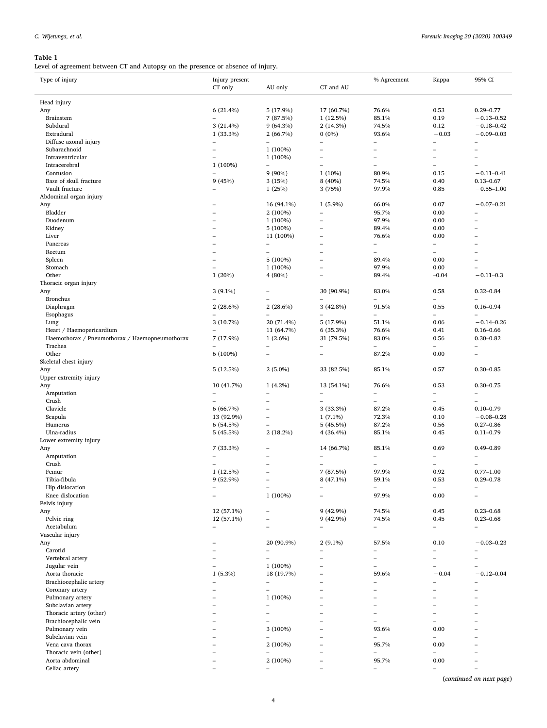## <span id="page-3-0"></span>**Table 1**

Level of agreement between CT and Autopsy on the presence or absence of injury.

| Type of injury                                 | Injury present                        |                               |                          | % Agreement                    | Kappa                    | 95% CI                           |  |
|------------------------------------------------|---------------------------------------|-------------------------------|--------------------------|--------------------------------|--------------------------|----------------------------------|--|
|                                                | CT only                               | AU only                       | CT and AU                |                                |                          |                                  |  |
|                                                |                                       |                               |                          |                                |                          |                                  |  |
| Head injury                                    |                                       |                               |                          |                                |                          |                                  |  |
| Any                                            | 6(21.4%)                              | 5 (17.9%)                     | 17 (60.7%)               | 76.6%                          | 0.53                     | $0.29 - 0.77$                    |  |
| Brainstem                                      | $\overline{\phantom{a}}$              | 7 (87.5%)                     | 1(12.5%)                 | 85.1%                          | 0.19                     | $-0.13 - 0.52$                   |  |
| Subdural<br>Extradural                         | 3(21.4%)                              | 9(64.3%)                      | 2(14.3%)<br>$0(0\%)$     | 74.5%<br>93.6%                 | 0.12<br>$-0.03$          | $-0.18 - 0.42$<br>$-0.09 - 0.03$ |  |
| Diffuse axonal injury                          | 1 (33.3%)<br>$\overline{\phantom{a}}$ | 2(66.7%)<br>$\qquad \qquad -$ | $\qquad \qquad -$        | $\qquad \qquad -$              | L,                       | $\qquad \qquad -$                |  |
| Subarachnoid                                   | $\overline{\phantom{m}}$              | 1 (100%)                      | $\overline{\phantom{0}}$ | $\overline{\phantom{0}}$       | ÷                        | $\overline{\phantom{0}}$         |  |
| Intraventricular                               |                                       | 1 (100%)                      | $\qquad \qquad -$        | $\overline{\phantom{0}}$       | $\overline{\phantom{0}}$ | $\qquad \qquad -$                |  |
| Intracerebral                                  | 1 (100%)                              | $\overline{\phantom{0}}$      | $\overline{\phantom{a}}$ | $\equiv$                       | L.                       | ۳                                |  |
| Contusion                                      | $\overline{\phantom{a}}$              | $9(90\%)$                     | 1(10%)                   | 80.9%                          | 0.15                     | $-0.11 - 0.41$                   |  |
| Base of skull fracture                         | 9(45%)                                | 3(15%)                        | 8 (40%)                  | 74.5%                          | 0.40                     | $0.13 - 0.67$                    |  |
| Vault fracture                                 | $\overline{\phantom{0}}$              | 1 (25%)                       | 3 (75%)                  | 97.9%                          | 0.85                     | $-0.55 - 1.00$                   |  |
| Abdominal organ injury                         |                                       |                               |                          |                                |                          |                                  |  |
| Any                                            |                                       | 16 (94.1%)                    | $1(5.9\%)$               | 66.0%                          | 0.07                     | $-0.07 - 0.21$                   |  |
| Bladder                                        |                                       | 2 (100%)                      | $\overline{\phantom{0}}$ | 95.7%                          | 0.00                     | -                                |  |
| Duodenum                                       | $\equiv$                              | 1 (100%)                      | $\overline{\phantom{0}}$ | 97.9%                          | 0.00                     | $\equiv$                         |  |
| Kidney                                         | $\equiv$                              | 5 (100%)                      | $\overline{\phantom{0}}$ | 89.4%                          | 0.00                     | ÷,                               |  |
| Liver                                          |                                       | 11 (100%)                     | $\overline{\phantom{0}}$ | 76.6%                          | 0.00                     | ÷,                               |  |
| Pancreas                                       |                                       | $\overline{\phantom{0}}$      | -                        | $\qquad \qquad -$              | $\overline{\phantom{0}}$ | -                                |  |
| Rectum                                         | $\overline{\phantom{0}}$              | L.                            | $\overline{\phantom{0}}$ | $\overline{\phantom{0}}$       | ÷,                       | $\overline{\phantom{0}}$         |  |
| Spleen                                         | $\overline{\phantom{0}}$              | 5 (100%)                      |                          | 89.4%                          | 0.00                     | L,                               |  |
| Stomach                                        | $\overline{\phantom{a}}$              | 1 (100%)                      | $\overline{\phantom{0}}$ | 97.9%                          | 0.00                     |                                  |  |
| Other                                          | 1(20%)                                | 4 (80%)                       | ۳                        | 89.4%                          | $-0.04$                  | $-0.11 - 0.3$                    |  |
| Thoracic organ injury                          |                                       |                               |                          |                                |                          |                                  |  |
| Any                                            | $3(9.1\%)$                            | ÷                             | 30 (90.9%)               | 83.0%                          | 0.58                     | $0.32 - 0.84$                    |  |
| <b>Bronchus</b>                                |                                       |                               | ۳                        | ۳                              | ÷                        |                                  |  |
| Diaphragm                                      | $2(28.6\%)$                           | $2(28.6\%)$                   | 3 (42.8%)                | 91.5%                          | 0.55                     | $0.16 - 0.94$                    |  |
| Esophagus                                      |                                       | L.                            |                          | $\overline{\phantom{0}}$       | ÷,                       |                                  |  |
| Lung                                           | 3(10.7%)                              | 20 (71.4%)                    | 5 (17.9%)                | 51.1%                          | 0.06                     | $-0.14 - 0.26$                   |  |
| Heart / Haemopericardium                       |                                       | 11 (64.7%)                    | 6 (35.3%)                | 76.6%                          | 0.41                     | $0.16 - 0.66$                    |  |
| Haemothorax / Pneumothorax / Haemopneumothorax | 7 (17.9%)                             | $1(2.6\%)$                    | 31 (79.5%)               | 83.0%                          | 0.56                     | $0.30 - 0.82$                    |  |
| Trachea                                        |                                       | Ē,                            | $\overline{\phantom{a}}$ | $\overline{\phantom{0}}$       | $\overline{a}$           | ÷,                               |  |
| Other                                          | 6 (100%)                              | $\overline{\phantom{0}}$      | $\overline{\phantom{0}}$ | 87.2%                          | 0.00                     | $\overline{\phantom{0}}$         |  |
| Skeletal chest injury                          |                                       |                               |                          |                                |                          |                                  |  |
| Any                                            | 5(12.5%)                              | $2(5.0\%)$                    | 33 (82.5%)               | 85.1%                          | 0.57                     | $0.30 - 0.85$                    |  |
| Upper extremity injury                         |                                       |                               |                          |                                |                          |                                  |  |
| Any                                            | 10 (41.7%)                            | $1(4.2\%)$                    | 13 (54.1%)               | 76.6%                          | 0.53                     | $0.30 - 0.75$                    |  |
| Amputation<br>Crush                            | $\overline{\phantom{a}}$              | ۳                             | $\qquad \qquad -$<br>L.  | $\overline{\phantom{a}}$<br>L. | L,<br>÷,                 | $\overline{\phantom{0}}$         |  |
| Clavicle                                       | 6(66.7%)                              | ۰                             | 3 (33.3%)                | 87.2%                          | 0.45                     | $0.10 - 0.79$                    |  |
| Scapula                                        | 13 (92.9%)                            | ۰                             | $1(7.1\%)$               | 72.3%                          | 0.10                     | $-0.08 - 0.28$                   |  |
| Humerus                                        | 6(54.5%)                              | ۰                             | 5(45.5%)                 | 87.2%                          | 0.56                     | $0.27 - 0.86$                    |  |
| Ulna-radius                                    | 5 (45.5%)                             | 2(18.2%)                      | 4 (36.4%)                | 85.1%                          | 0.45                     | $0.11 - 0.79$                    |  |
| Lower extremity injury                         |                                       |                               |                          |                                |                          |                                  |  |
| Any                                            | 7 (33.3%)                             |                               | 14 (66.7%)               | 85.1%                          | 0.69                     | $0.49 - 0.89$                    |  |
| Amputation                                     |                                       |                               | $\qquad \qquad -$        | $\overline{\phantom{0}}$       | $\overline{\phantom{0}}$ | $\overline{\phantom{0}}$         |  |
| Crush                                          |                                       |                               | $\overline{\phantom{0}}$ | $\overline{\phantom{0}}$       | ÷                        | $\equiv$                         |  |
| Femur                                          | 1(12.5%)                              | ۰                             | 7 (87.5%)                | 97.9%                          | 0.92                     | $0.77 - 1.00$                    |  |
| Tibia-fibula                                   | 9 (52.9%)                             | $\overline{\phantom{0}}$      | 8 (47.1%)                | 59.1%                          | 0.53                     | $0.29 - 0.78$                    |  |
| Hip dislocation                                |                                       | ٠                             |                          |                                |                          |                                  |  |
| Knee dislocation                               | $\equiv$                              | 1 (100%)                      | $\equiv$                 | 97.9%                          | 0.00                     | $\equiv$                         |  |
| Pelvis injury                                  |                                       |                               |                          |                                |                          |                                  |  |
| Any                                            | 12 (57.1%)                            |                               | 9 (42.9%)                | 74.5%                          | 0.45                     | $0.23 - 0.68$                    |  |
| Pelvic ring                                    | 12 (57.1%)                            |                               | 9 (42.9%)                | 74.5%                          | 0.45                     | $0.23 - 0.68$                    |  |
| Acetabulum                                     | $\overline{\phantom{a}}$              | ۰                             | $\overline{\phantom{0}}$ | $\qquad \qquad -$              | L,                       | ÷                                |  |
| Vascular injury                                |                                       |                               |                          |                                |                          |                                  |  |
| Any                                            |                                       | 20 (90.9%)                    | $2(9.1\%)$               | 57.5%                          | 0.10                     | $-0.03 - 0.23$                   |  |
| Carotid                                        |                                       | ÷                             | $\overline{\phantom{0}}$ | $\overline{\phantom{0}}$       | $\overline{\phantom{0}}$ | -                                |  |
| Vertebral artery                               |                                       | Ē,                            | $\overline{\phantom{0}}$ | $\overline{\phantom{a}}$       | L,                       | ÷,                               |  |
| Jugular vein                                   | $\overline{\phantom{0}}$              | $1(100\%)$                    |                          | $\overline{\phantom{0}}$       | $\overline{\phantom{0}}$ | ÷,                               |  |
| Aorta thoracic                                 | $1(5.3\%)$                            | 18 (19.7%)                    |                          | 59.6%                          | $-0.04$                  | $-0.12 - 0.04$                   |  |
| Brachiocephalic artery                         | $\overline{\phantom{m}}$              | -                             |                          |                                |                          | -                                |  |
| Coronary artery                                | $\overline{\phantom{0}}$              | L.                            |                          |                                |                          | L,                               |  |
| Pulmonary artery                               |                                       | 1 (100%)                      |                          |                                |                          |                                  |  |
| Subclavian artery                              |                                       | ÷                             |                          |                                |                          |                                  |  |
| Thoracic artery (other)                        |                                       | ÷                             |                          | -                              |                          |                                  |  |
| Brachiocephalic vein                           |                                       |                               |                          | $\overline{\phantom{0}}$       | ÷                        |                                  |  |
| Pulmonary vein                                 |                                       | 3 (100%)                      |                          | 93.6%                          | 0.00                     |                                  |  |
| Subclavian vein                                |                                       |                               |                          |                                |                          | -                                |  |
| Vena cava thorax                               |                                       | 2 (100%)                      |                          | 95.7%                          | 0.00                     |                                  |  |
| Thoracic vein (other)                          |                                       |                               | $\overline{\phantom{0}}$ | $\overline{\phantom{0}}$       |                          | ÷,                               |  |
| Aorta abdominal                                |                                       | 2 (100%)                      | L,                       | 95.7%                          | 0.00                     | ÷,                               |  |
| Celiac artery                                  |                                       | $\overline{\phantom{0}}$      | $\overline{\phantom{0}}$ | $\overline{\phantom{0}}$       | $\overline{\phantom{0}}$ | $\overline{\phantom{0}}$         |  |

(*continued on next page*)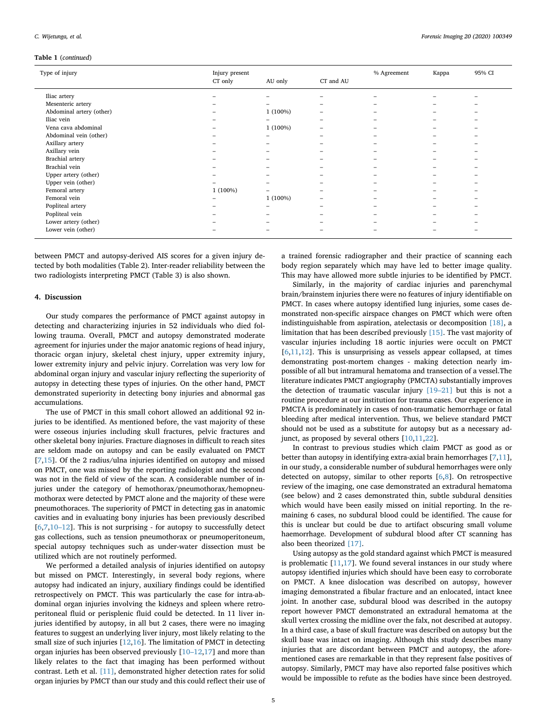#### **Table 1** (*continued*)

| Type of injury           | Injury present<br>CT only | AU only    | CT and AU | % Agreement | Kappa | 95% CI |
|--------------------------|---------------------------|------------|-----------|-------------|-------|--------|
| Iliac artery             |                           |            |           |             |       |        |
| Mesenteric artery        |                           |            |           |             |       |        |
| Abdominal artery (other) |                           | $1(100\%)$ |           |             |       |        |
| Iliac vein               |                           |            |           |             |       |        |
| Vena cava abdominal      |                           | $1(100\%)$ |           |             |       |        |
| Abdominal vein (other)   |                           |            |           |             |       |        |
| Axillary artery          |                           |            |           |             |       |        |
| Axillary vein            |                           |            |           |             |       |        |
| Brachial artery          |                           |            |           |             |       |        |
| Brachial vein            |                           |            |           |             |       |        |
| Upper artery (other)     |                           |            |           |             |       |        |
| Upper vein (other)       |                           |            |           |             |       |        |
| Femoral artery           | 1 (100%)                  |            |           |             |       |        |
| Femoral vein             |                           | $1(100\%)$ |           |             |       |        |
| Popliteal artery         |                           |            |           |             |       |        |
| Popliteal vein           |                           |            |           |             |       |        |
| Lower artery (other)     |                           |            |           |             |       |        |
| Lower vein (other)       |                           |            |           |             |       |        |

between PMCT and autopsy-derived AIS scores for a given injury detected by both modalities (Table 2). Inter-reader reliability between the two radiologists interpreting PMCT (Table 3) is also shown.

#### **4. Discussion**

Our study compares the performance of PMCT against autopsy in detecting and characterizing injuries in 52 individuals who died following trauma. Overall, PMCT and autopsy demonstrated moderate agreement for injuries under the major anatomic regions of head injury, thoracic organ injury, skeletal chest injury, upper extremity injury, lower extremity injury and pelvic injury. Correlation was very low for abdominal organ injury and vascular injury reflecting the superiority of autopsy in detecting these types of injuries. On the other hand, PMCT demonstrated superiority in detecting bony injuries and abnormal gas accumulations.

The use of PMCT in this small cohort allowed an additional 92 injuries to be identified. As mentioned before, the vast majority of these were osseous injuries including skull fractures, pelvic fractures and other skeletal bony injuries. Fracture diagnoses in difficult to reach sites are seldom made on autopsy and can be easily evaluated on PMCT  $[7,15]$  $[7,15]$  $[7,15]$  $[7,15]$ . Of the 2 radius/ulna injuries identified on autopsy and missed on PMCT, one was missed by the reporting radiologist and the second was not in the field of view of the scan. A considerable number of injuries under the category of hemothorax/pneumothorax/hemopneumothorax were detected by PMCT alone and the majority of these were pneumothoraces. The superiority of PMCT in detecting gas in anatomic cavities and in evaluating bony injuries has been previously described  $[6,7,10-12]$  $[6,7,10-12]$  $[6,7,10-12]$  $[6,7,10-12]$  $[6,7,10-12]$ . This is not surprising - for autopsy to successfully detect gas collections, such as tension pneumothorax or pneumoperitoneum, special autopsy techniques such as under-water dissection must be utilized which are not routinely performed.

We performed a detailed analysis of injuries identified on autopsy but missed on PMCT. Interestingly, in several body regions, where autopsy had indicated an injury, auxiliary findings could be identified retrospectively on PMCT. This was particularly the case for intra-abdominal organ injuries involving the kidneys and spleen where retroperitoneal fluid or perisplenic fluid could be detected. In 11 liver injuries identified by autopsy, in all but 2 cases, there were no imaging features to suggest an underlying liver injury, most likely relating to the small size of such injuries [[12,](#page-5-4)[16\]](#page-6-3). The limitation of PMCT in detecting organ injuries has been observed previously  $[10-12,17]$  $[10-12,17]$  $[10-12,17]$  and more than likely relates to the fact that imaging has been performed without contrast. Leth et al. [\[11\]](#page-5-5), demonstrated higher detection rates for solid organ injuries by PMCT than our study and this could reflect their use of a trained forensic radiographer and their practice of scanning each body region separately which may have led to better image quality. This may have allowed more subtle injuries to be identified by PMCT.

Similarly, in the majority of cardiac injuries and parenchymal brain/brainstem injuries there were no features of injury identifiable on PMCT. In cases where autopsy identified lung injuries, some cases demonstrated non-specific airspace changes on PMCT which were often indistinguishable from aspiration, atelectasis or decomposition [\[18\],](#page-6-5) a limitation that has been described previously [\[15\].](#page-6-2) The vast majority of vascular injuries including 18 aortic injuries were occult on PMCT  $[6,11,12]$  $[6,11,12]$  $[6,11,12]$  $[6,11,12]$  $[6,11,12]$ . This is unsurprising as vessels appear collapsed, at times demonstrating post-mortem changes - making detection nearly impossible of all but intramural hematoma and transection of a vessel.The literature indicates PMCT angiography (PMCTA) substantially improves the detection of traumatic vascular injury [\[19–21\]](#page-6-6) but this is not a routine procedure at our institution for trauma cases. Our experience in PMCTA is predominately in cases of non-traumatic hemorrhage or fatal bleeding after medical intervention. Thus, we believe standard PMCT should not be used as a substitute for autopsy but as a necessary adjunct, as proposed by several others [[10,](#page-5-3)[11,](#page-5-5)[22](#page-6-7)].

In contrast to previous studies which claim PMCT as good as or better than autopsy in identifying extra-axial brain hemorrhages [\[7,](#page-5-6)[11](#page-5-5)], in our study, a considerable number of subdural hemorrhages were only detected on autopsy, similar to other reports [[6](#page-5-7)[,8\]](#page-5-8). On retrospective review of the imaging, one case demonstrated an extradural hematoma (see below) and 2 cases demonstrated thin, subtle subdural densities which would have been easily missed on initial reporting. In the remaining 6 cases, no subdural blood could be identified. The cause for this is unclear but could be due to artifact obscuring small volume haemorrhage. Development of subdural blood after CT scanning has also been theorized [\[17\]](#page-6-4).

Using autopsy as the gold standard against which PMCT is measured is problematic  $[11,17]$  $[11,17]$  $[11,17]$  $[11,17]$ . We found several instances in our study where autopsy identified injuries which should have been easy to corroborate on PMCT. A knee dislocation was described on autopsy, however imaging demonstrated a fibular fracture and an enlocated, intact knee joint. In another case, subdural blood was described in the autopsy report however PMCT demonstrated an extradural hematoma at the skull vertex crossing the midline over the falx, not described at autopsy. In a third case, a base of skull fracture was described on autopsy but the skull base was intact on imaging. Although this study describes many injuries that are discordant between PMCT and autopsy, the aforementioned cases are remarkable in that they represent false positives of autopsy. Similarly, PMCT may have also reported false positives which would be impossible to refute as the bodies have since been destroyed.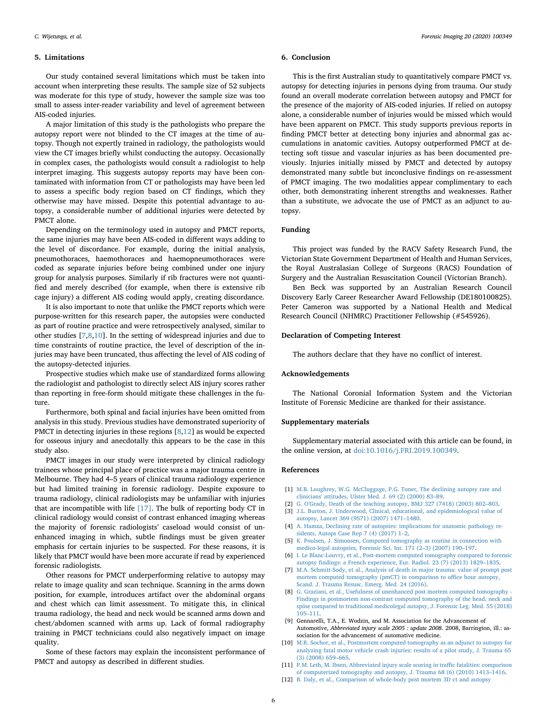#### **5. Limitations**

Our study contained several limitations which must be taken into account when interpreting these results. The sample size of 52 subjects was moderate for this type of study, however the sample size was too small to assess inter-reader variability and level of agreement between AIS-coded injuries.

A major limitation of this study is the pathologists who prepare the autopsy report were not blinded to the CT images at the time of autopsy. Though not expertly trained in radiology, the pathologists would view the CT images briefly whilst conducting the autopsy. Occasionally in complex cases, the pathologists would consult a radiologist to help interpret imaging. This suggests autopsy reports may have been contaminated with information from CT or pathologists may have been led to assess a specific body region based on CT findings, which they otherwise may have missed. Despite this potential advantage to autopsy, a considerable number of additional injuries were detected by PMCT alone.

Depending on the terminology used in autopsy and PMCT reports, the same injuries may have been AIS-coded in different ways adding to the level of discordance. For example, during the initial analysis, pneumothoraces, haemothoraces and haemopneumothoraces were coded as separate injuries before being combined under one injury group for analysis purposes. Similarly if rib fractures were not quantified and merely described (for example, when there is extensive rib cage injury) a different AIS coding would apply, creating discordance.

It is also important to note that unlike the PMCT reports which were purpose-written for this research paper, the autopsies were conducted as part of routine practice and were retrospectively analysed, similar to other studies [\[7,](#page-5-6)[8](#page-5-8),[10\]](#page-5-3). In the setting of widespread injuries and due to time constraints of routine practice, the level of description of the injuries may have been truncated, thus affecting the level of AIS coding of the autopsy-detected injuries.

Prospective studies which make use of standardized forms allowing the radiologist and pathologist to directly select AIS injury scores rather than reporting in free-form should mitigate these challenges in the future.

Furthermore, both spinal and facial injuries have been omitted from analysis in this study. Previous studies have demonstrated superiority of PMCT in detecting injuries in these regions [\[8](#page-5-8),[12\]](#page-5-4) as would be expected for osseous injury and anecdotally this appears to be the case in this study also.

PMCT images in our study were interpreted by clinical radiology trainees whose principal place of practice was a major trauma centre in Melbourne. They had 4–5 years of clinical trauma radiology experience but had limited training in forensic radiology. Despite exposure to trauma radiology, clinical radiologists may be unfamiliar with injuries that are incompatible with life  $[17]$ . The bulk of reporting body CT in clinical radiology would consist of contrast enhanced imaging whereas the majority of forensic radiologists' caseload would consist of unenhanced imaging in which, subtle findings must be given greater emphasis for certain injuries to be suspected. For these reasons, it is likely that PMCT would have been more accurate if read by experienced forensic radiologists.

Other reasons for PMCT underperforming relative to autopsy may relate to image quality and scan technique. Scanning in the arms down position, for example, introduces artifact over the abdominal organs and chest which can limit assessment. To mitigate this, in clinical trauma radiology, the head and neck would be scanned arms down and chest/abdomen scanned with arms up. Lack of formal radiography training in PMCT technicians could also negatively impact on image quality.

Some of these factors may explain the inconsistent performance of PMCT and autopsy as described in different studies.

#### **6. Conclusion**

This is the first Australian study to quantitatively compare PMCT vs. autopsy for detecting injuries in persons dying from trauma. Our study found an overall moderate correlation between autopsy and PMCT for the presence of the majority of AIS-coded injuries. If relied on autopsy alone, a considerable number of injuries would be missed which would have been apparent on PMCT. This study supports previous reports in finding PMCT better at detecting bony injuries and abnormal gas accumulations in anatomic cavities. Autopsy outperformed PMCT at detecting soft tissue and vascular injuries as has been documented previously. Injuries initially missed by PMCT and detected by autopsy demonstrated many subtle but inconclusive findings on re-assessment of PMCT imaging. The two modalities appear complimentary to each other, both demonstrating inherent strengths and weaknesses. Rather than a substitute, we advocate the use of PMCT as an adjunct to autopsy.

#### **Funding**

This project was funded by the RACV Safety Research Fund, the Victorian State Government Department of Health and Human Services, the Royal Australasian College of Surgeons (RACS) Foundation of Surgery and the Australian Resuscitation Council (Victorian Branch).

Ben Beck was supported by an Australian Research Council Discovery Early Career Researcher Award Fellowship (DE180100825). Peter Cameron was supported by a National Health and Medical Research Council (NHMRC) Practitioner Fellowship (#545926).

#### **Declaration of Competing Interest**

The authors declare that they have no conflict of interest.

#### **Acknowledgements**

The National Coronial Information System and the Victorian Institute of Forensic Medicine are thanked for their assistance.

#### **Supplementary materials**

Supplementary material associated with this article can be found, in the online version, at [doi:10.1016/j.FRI.2019.100349.](https://doi.org/10.1016/j.FRI.2019.100349)

#### **References**

- <span id="page-5-0"></span>[1] [M.B. Loughrey, W.G. McCluggage, P.G. Toner, The declining autopsy rate and](http://refhub.elsevier.com/S2212-4780(19)30077-2/sbref0001) [clinicians' attitudes, Ulster Med. J. 69 \(2\) \(2000\) 83–89.](http://refhub.elsevier.com/S2212-4780(19)30077-2/sbref0001)
- [2] [G. O'Grady, Death of the teaching autopsy, BMJ 327 \(7418\) \(2003\) 802–803.](http://refhub.elsevier.com/S2212-4780(19)30077-2/sbref0002) [3] [J.L. Burton, J. Underwood, Clinical, educational, and epidemiological value of](http://refhub.elsevier.com/S2212-4780(19)30077-2/sbref0003)
- [autopsy, Lancet 369 \(9571\) \(2007\) 1471–1480.](http://refhub.elsevier.com/S2212-4780(19)30077-2/sbref0003) [4] [A. Hamza, Declining rate of autopsies: implications for anatomic pathology re-](http://refhub.elsevier.com/S2212-4780(19)30077-2/sbref0004)
- <span id="page-5-1"></span>[sidents, Autops Case Rep 7 \(4\) \(2017\) 1–2.](http://refhub.elsevier.com/S2212-4780(19)30077-2/sbref0004) [5] [K. Poulsen, J. Simonsen, Computed tomography as routine in connection with](http://refhub.elsevier.com/S2212-4780(19)30077-2/sbref0005) [medico-legal autopsies, Forensic Sci. Int. 171 \(2–3\) \(2007\) 190–197.](http://refhub.elsevier.com/S2212-4780(19)30077-2/sbref0005)
- <span id="page-5-7"></span>[6] [I. Le Blanc-Louvry, et al., Post-mortem computed tomography compared to forensic](http://refhub.elsevier.com/S2212-4780(19)30077-2/sbref0006) [autopsy findings: a French experience, Eur. Radiol. 23 \(7\) \(2013\) 1829–1835.](http://refhub.elsevier.com/S2212-4780(19)30077-2/sbref0006)
- <span id="page-5-6"></span>[7] [M.A. Schmitt-Sody, et al., Analysis of death in major trauma: value of prompt post](http://refhub.elsevier.com/S2212-4780(19)30077-2/sbref0007) [mortem computed tomography \(pmCT\) in comparison to office hour autopsy,](http://refhub.elsevier.com/S2212-4780(19)30077-2/sbref0007) [Scand. J. Trauma Resusc. Emerg. Med. 24 \(2016\).](http://refhub.elsevier.com/S2212-4780(19)30077-2/sbref0007)
- <span id="page-5-8"></span>[8] G. Graziani, et al., Usefulness of unenhanced post mortem computed tomography [Findings in postmortem non-contrast computed tomography of the head, neck and](http://refhub.elsevier.com/S2212-4780(19)30077-2/sbref0008) [spine compared to traditional medicolegal autopsy, J. Forensic Leg. Med. 55 \(2018\)](http://refhub.elsevier.com/S2212-4780(19)30077-2/sbref0008) [105–111.](http://refhub.elsevier.com/S2212-4780(19)30077-2/sbref0008)
- <span id="page-5-2"></span>[9] Gennarelli, T.A., E. Wodzin, and M. Association for the Advancement of Automotive, *Abbreviated injury scale 2005 : update 2008*. 2008, Barrington, ill.: association for the advancement of automative medicine.
- <span id="page-5-3"></span>[10] [M.R. Sochor, et al., Postmortem computed tomography as an adjunct to autopsy for](http://refhub.elsevier.com/S2212-4780(19)30077-2/sbref0009) [analyzing fatal motor vehicle crash injuries: results of a pilot study, J. Trauma 65](http://refhub.elsevier.com/S2212-4780(19)30077-2/sbref0009) [\(3\) \(2008\) 659–665.](http://refhub.elsevier.com/S2212-4780(19)30077-2/sbref0009)
- <span id="page-5-5"></span>[11] [P.M. Leth, M. Ibsen, Abbreviated injury scale scoring in traffic fatalities: comparison](http://refhub.elsevier.com/S2212-4780(19)30077-2/sbref0010) [of computerized tomography and autopsy, J. Trauma 68 \(6\) \(2010\) 1413–1416.](http://refhub.elsevier.com/S2212-4780(19)30077-2/sbref0010)
- <span id="page-5-4"></span>[12] [B. Daly, et al., Comparison of whole-body post mortem 3D ct and autopsy](http://refhub.elsevier.com/S2212-4780(19)30077-2/sbref0011)